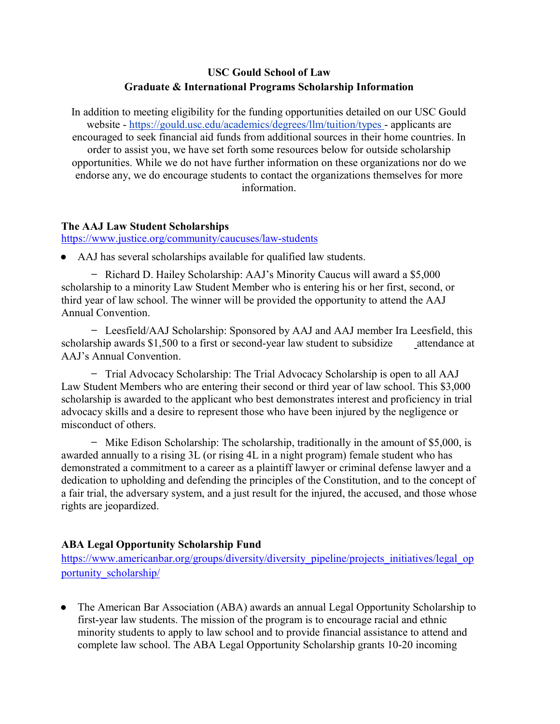## **USC Gould School of Law Graduate & International Programs Scholarship Information**

In addition to meeting eligibility for the funding opportunities detailed on our USC Gould website - [https://gould.usc.edu/academics/degrees/llm/tuition/types -](https://gould.usc.edu/academics/degrees/llm/tuition/types) applicants are encouraged to seek financial aid funds from additional sources in their home countries. In order to assist you, we have set forth some resources below for outside scholarship opportunities. While we do not have further information on these organizations nor do we endorse any, we do encourage students to contact the organizations themselves for more information.

#### **The AAJ Law Student Scholarships**

<https://www.justice.org/community/caucuses/law-students>

**●** AAJ has several scholarships available for qualified law students.

̶ Richard D. Hailey Scholarship: AAJ's Minority Caucus will award a \$5,000 scholarship to a minority Law Student Member who is entering his or her first, second, or third year of law school. The winner will be provided the opportunity to attend the AAJ Annual Convention.

̶ Leesfield/AAJ Scholarship: Sponsored by AAJ and AAJ member Ira Leesfield, this scholarship awards \$1,500 to a first or second-year law student to subsidize attendance at AAJ's Annual Convention.

̶ Trial Advocacy Scholarship: The Trial Advocacy Scholarship is open to all AAJ Law Student Members who are entering their second or third year of law school. This \$3,000 scholarship is awarded to the applicant who best demonstrates interest and proficiency in trial advocacy skills and a desire to represent those who have been injured by the negligence or misconduct of others.

̶ Mike Edison Scholarship: The scholarship, traditionally in the amount of \$5,000, is awarded annually to a rising 3L (or rising 4L in a night program) female student who has demonstrated a commitment to a career as a plaintiff lawyer or criminal defense lawyer and a dedication to upholding and defending the principles of the Constitution, and to the concept of a fair trial, the adversary system, and a just result for the injured, the accused, and those whose rights are jeopardized.

#### **ABA Legal Opportunity Scholarship Fund**

[https://www.americanbar.org/groups/diversity/diversity\\_pipeline/projects\\_initiatives/legal\\_op](https://www.americanbar.org/groups/diversity/diversity_pipeline/projects_initiatives/legal_opportunity_scholarship/) [portunity\\_scholarship/](https://www.americanbar.org/groups/diversity/diversity_pipeline/projects_initiatives/legal_opportunity_scholarship/)

**●** The American Bar Association (ABA) awards an annual Legal Opportunity Scholarship to first-year law students. The mission of the program is to encourage racial and ethnic minority students to apply to law school and to provide financial assistance to attend and complete law school. The ABA Legal Opportunity Scholarship grants 10-20 incoming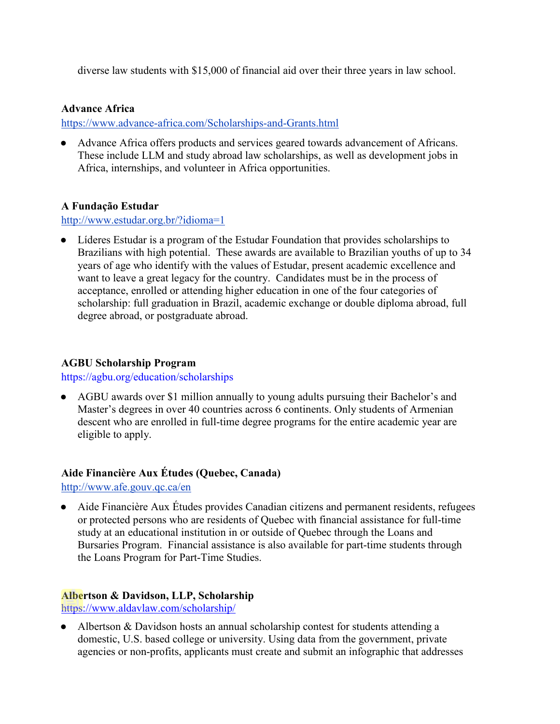diverse law students with \$15,000 of financial aid over their three years in law school.

### **Advance Africa**

<https://www.advance-africa.com/Scholarships-and-Grants.html>

**●** Advance Africa offers products and services geared towards advancement of Africans. These include LLM and study abroad law [scholarships,](https://www.advance-africa.com/Scholarships-for-Study-in-Africa.html) as well as [development jobs in](https://www.advance-africa.com/Jobs-in-Africa.html) [Africa,](https://www.advance-africa.com/Jobs-in-Africa.html) [internships,](https://www.advance-africa.com/internships.html) and [volunteer in Africa opportunities.](https://www.advance-africa.com/Volunteer-in-Africa.html)

## **A Fundação Estudar**

<http://www.estudar.org.br/?idioma=1>

**●** Líderes Estudar is a program of the Estudar Foundation that provides scholarships to Brazilians with high potential. These awards are available to Brazilian youths of up to 34 years of age who identify with the values of Estudar, present academic excellence and want to leave a great legacy for the country. Candidates must be in the process of acceptance, enrolled or attending higher education in one of the four categories of scholarship: full graduation in Brazil, academic exchange or double diploma abroad, full degree abroad, or postgraduate abroad.

### **AGBU Scholarship Program**

<https://agbu.org/education/scholarships>

**●** AGBU awards over \$1 million annually to young adults pursuing their Bachelor's and Master's degrees in over 40 countries across 6 continents. Only students of Armenian descent who are enrolled in full-time degree programs for the entire academic year are eligible to apply.

## **Aide Financière Aux Études (Quebec, Canada)**

<http://www.afe.gouv.qc.ca/en>

**●** Aide Financière Aux Études provides Canadian citizens and permanent residents, refugees or protected persons who are residents of Quebec with financial assistance for full-time study at an educational institution in or outside of Quebec through the Loans and Bursaries Program. Financial assistance is also available for part-time students through the Loans Program for Part-Time Studies.

## **Albertson & Davidson, LLP, Scholarship**

<https://www.aldavlaw.com/scholarship/>

**●** Albertson & Davidson hosts an annual scholarship contest for students attending a domestic, U.S. based college or university. Using data from the government, private agencies or non-profits, applicants must create and submit an infographic that addresses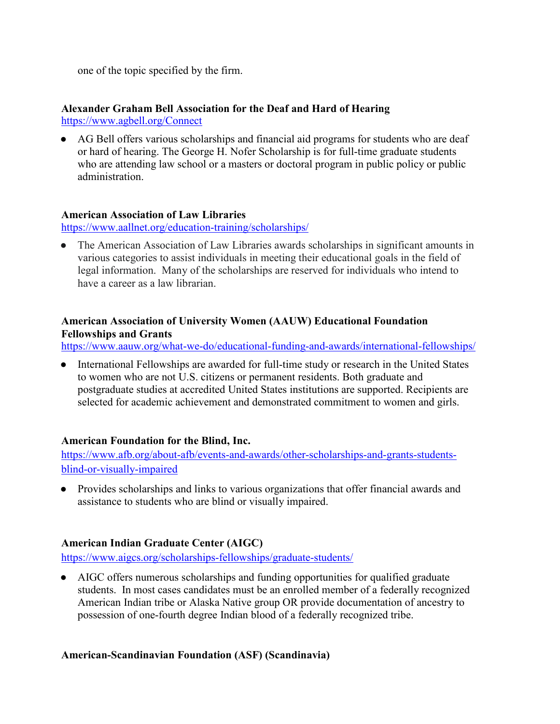one of the topic specified by the firm.

# **Alexander Graham Bell Association for the Deaf and Hard of Hearing**

<https://www.agbell.org/Connect>

**●** AG Bell offers various scholarships and financial aid programs for students who are deaf or hard of hearing. The George H. Nofer Scholarship is for full-time graduate students who are attending law school or a masters or doctoral program in public policy or public administration.

### **American Association of Law Libraries**

<https://www.aallnet.org/education-training/scholarships/>

**●** The American Association of Law Libraries awards scholarships in significant amounts in various categories to assist individuals in meeting their educational goals in the field of legal information. Many of the scholarships are reserved for individuals who intend to have a career as a law librarian.

### **American Association of University Women (AAUW) Educational Foundation Fellowships and Grants**

<https://www.aauw.org/what-we-do/educational-funding-and-awards/international-fellowships/>

**●** International Fellowships are awarded for full-time study or research in the United States to women who are not U.S. citizens or permanent residents. Both graduate and postgraduate studies at accredited United States institutions are supported. Recipients are selected for academic achievement and demonstrated commitment to women and girls.

## **American Foundation for the Blind, Inc.**

[https://www.afb.org/about-afb/events-and-awards/other-scholarships-and-grants-students](https://www.afb.org/about-afb/events-and-awards/other-scholarships-and-grants-students-blind-or-visually-impaired)[blind-or-visually-impaired](https://www.afb.org/about-afb/events-and-awards/other-scholarships-and-grants-students-blind-or-visually-impaired)

**●** Provides scholarships and links to various organizations that offer financial awards and assistance to students who are blind or visually impaired.

## **American Indian Graduate Center (AIGC)**

<https://www.aigcs.org/scholarships-fellowships/graduate-students/>

**●** AIGC offers numerous scholarships and funding opportunities for qualified graduate students. In most cases candidates must be an enrolled member of a federally recognized American Indian tribe or Alaska Native group OR provide documentation of ancestry to possession of one-fourth degree Indian blood of a federally recognized tribe.

## **American-Scandinavian Foundation (ASF) (Scandinavia)**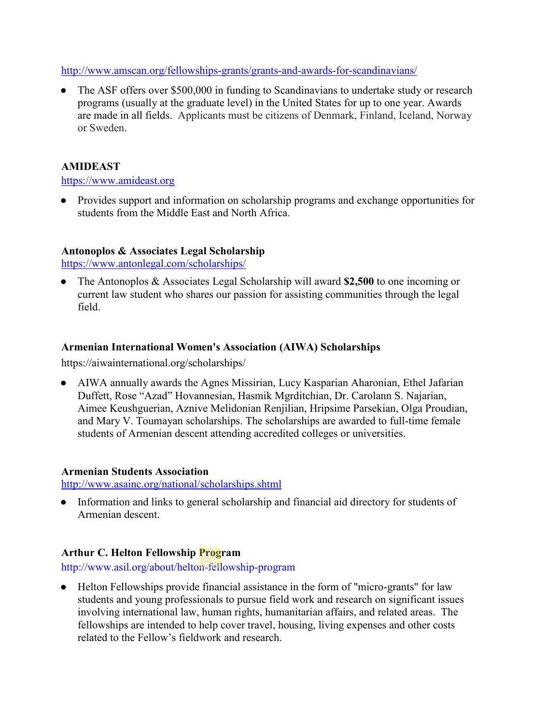#### <http://www.amscan.org/fellowships-grants/grants-and-awards-for-scandinavians/>

**●** The ASF offers over \$500,000 in funding to Scandinavians to undertake study or research programs (usually at the graduate level) in the United States for up to one year. Awards are made in all fields. Applicants must be citizens of Denmark, Finland, Iceland, Norway or Sweden.

## **AMIDEAST**

### https:[//www.amideast.org](http://www.amideast.org/)

**●** Provides support and information on scholarship programs and exchange opportunities for students from the Middle East and North Africa.

## **Antonoplos & Associates Legal Scholarship**

<https://www.antonlegal.com/scholarships/>

**●** The Antonoplos & Associates Legal Scholarship will award **\$2,500** to one incoming or current law student who shares our passion for assisting communities through the legal field.

## **Armenian International Women's Association (AIWA) Scholarships**

https://aiwainternational.org/scholarships/

**●** AIWA annually awards the Agnes Missirian, Lucy Kasparian Aharonian, Ethel Jafarian Duffett, Rose "Azad" Hovannesian, Hasmik Mgrditchian, Dr. Carolann S. Najarian, Aimee Keushguerian, Aznive Melidonian Renjilian, Hripsime Parsekian, Olga Proudian, and Mary V. Toumayan scholarships. The scholarships are awarded to full-time female students of Armenian descent attending accredited colleges or universities.

#### **Armenian Students Association**

<http://www.asainc.org/national/scholarships.shtml>

**●** Information and links to general scholarship and financial aid directory for students of Armenian descent.

## **Arthur C. Helton Fellowship Program**

<http://www.asil.org/about/helton-fellowship-program>

**●** Helton Fellowships provide financial assistance in the form of "micro-grants" for law students and young professionals to pursue field work and research on significant issues involving international law, human rights, humanitarian affairs, and related areas. The fellowships are intended to help cover travel, housing, living expenses and other costs related to the Fellow's fieldwork and research.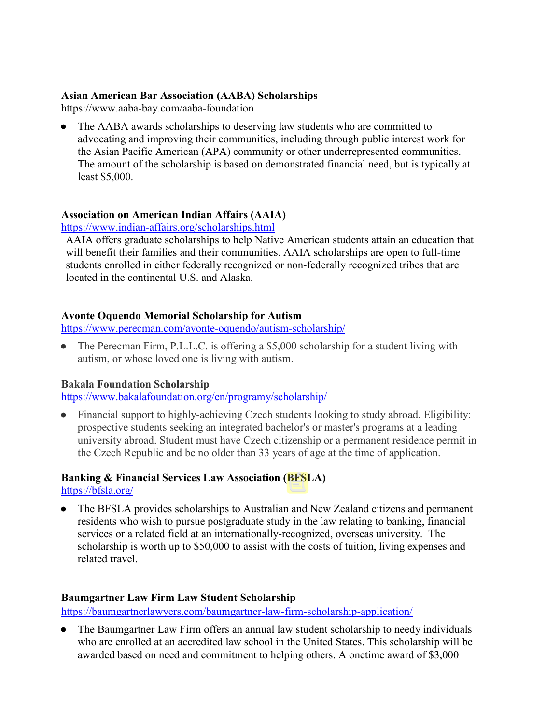#### **Asian American Bar Association (AABA) Scholarships**

https://www.aaba-bay.com/aaba-foundation

**●** The AABA awards scholarships to deserving law students who are committed to advocating and improving their communities, including through public interest work for the Asian Pacific American (APA) community or other underrepresented communities. The amount of the scholarship is based on demonstrated financial need, but is typically at least \$5,000.

## **Association on American Indian Affairs (AAIA)**

<https://www.indian-affairs.org/scholarships.html>

AAIA offers graduate scholarships to help Native American students attain an education that will benefit their families and their communities. AAIA scholarships are open to full-time students enrolled in either federally recognized or non-federally recognized tribes that are located in the continental U.S. and Alaska.

### **Avonte Oquendo Memorial Scholarship for Autism**

<https://www.perecman.com/avonte-oquendo/autism-scholarship/>

**●** The Perecman Firm, P.L.L.C. is offering a \$5,000 scholarship for a student living with autism, or whose loved one is living with autism.

#### **Bakala Foundation Scholarship**

<https://www.bakalafoundation.org/en/programy/scholarship/>

**●** Financial support to highly-achieving Czech students looking to study abroad. Eligibility: prospective students seeking an integrated bachelor's or master's programs at a leading university abroad. Student must have Czech citizenship or a permanent residence permit in the Czech Republic and be no older than 33 years of age at the time of application.

## **Banking & Financial Services Law Association (BFSLA)**

<https://bfsla.org/>

**●** The BFSLA provides scholarships to Australian and New Zealand citizens and permanent residents who wish to pursue postgraduate study in the law relating to banking, financial services or a related field at an internationally-recognized, overseas university. The scholarship is worth up to \$50,000 to assist with the costs of tuition, living expenses and related travel.

## **Baumgartner Law Firm Law Student Scholarship**

https://baumgartnerlawyers.com/baumgartner-law-firm-scholarship-application/

**●** The Baumgartner Law Firm offers an annual law student scholarship to needy individuals who are enrolled at an accredited law school in the United States. This scholarship will be awarded based on need and commitment to helping others. A onetime award of \$3,000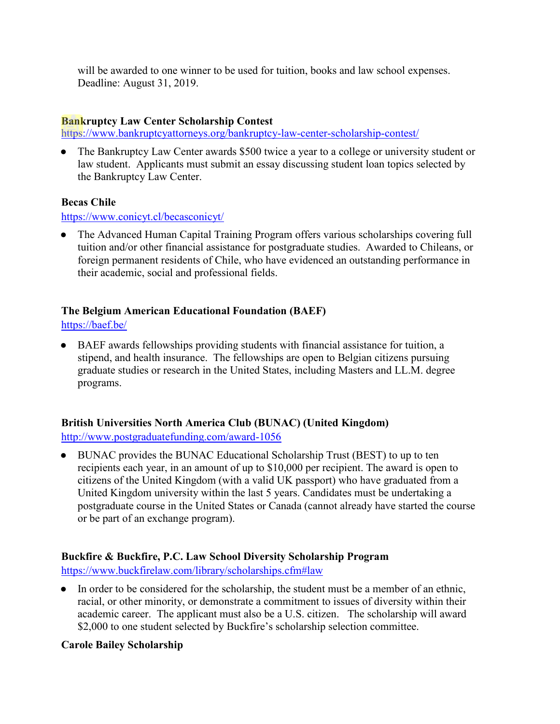will be awarded to one winner to be used for tuition, books and law school expenses. Deadline: August 31, 2019.

### **Bankruptcy Law Center Scholarship Contest**

<https://www.bankruptcyattorneys.org/bankruptcy-law-center-scholarship-contest/>

**●** The Bankruptcy Law Center awards \$500 twice a year to a college or university student or law student. Applicants must submit an essay discussing student loan topics selected by the Bankruptcy Law Center.

### **Becas Chile**

<https://www.conicyt.cl/becasconicyt/>

**●** The Advanced Human Capital Training Program offers various scholarships covering full tuition and/or other financial assistance for postgraduate studies. Awarded to Chileans, or foreign permanent residents of Chile, who have evidenced an outstanding performance in their academic, social and professional fields.

## **The Belgium American Educational Foundation (BAEF)**

<https://baef.be/>

**●** BAEF awards fellowships providing students with financial assistance for tuition, a stipend, and health insurance. The fellowships are open to Belgian citizens pursuing graduate studies or research in the United States, including Masters and LL.M. degree programs.

## **British Universities North America Club (BUNAC) (United Kingdom)**

<http://www.postgraduatefunding.com/award-1056>

**●** BUNAC provides the BUNAC Educational Scholarship Trust (BEST) to up to ten recipients each year, in an amount of up to \$10,000 per recipient. The award is open to citizens of the United Kingdom (with a valid UK passport) who have graduated from a United Kingdom university within the last 5 years. Candidates must be undertaking a postgraduate course in the United States or Canada (cannot already have started the course or be part of an exchange program).

## **Buckfire & Buckfire, P.C. Law School Diversity Scholarship Program**

<https://www.buckfirelaw.com/library/scholarships.cfm#law>

**●** In order to be considered for the scholarship, the student must be a member of an ethnic, racial, or other minority, or demonstrate a commitment to issues of diversity within their academic career. The applicant must also be a U.S. citizen. The scholarship will award \$2,000 to one student selected by Buckfire's scholarship selection committee.

## **Carole Bailey Scholarship**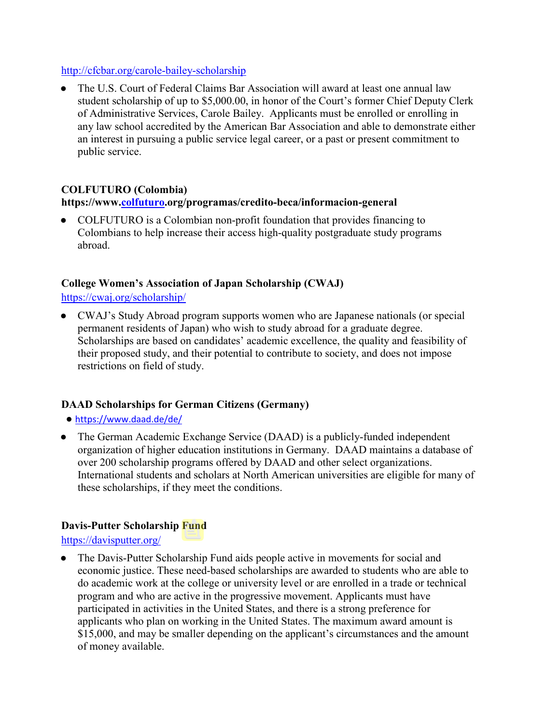## <http://cfcbar.org/carole-bailey-scholarship>

**●** The U.S. Court of Federal Claims Bar Association will award at least one annual law student scholarship of up to \$5,000.00, in honor of the Court's former Chief Deputy Clerk of Administrative Services, Carole Bailey. Applicants must be enrolled or enrolling in any law school accredited by the American Bar Association and able to demonstrate either an interest in pursuing a public service legal career, or a past or present commitment to public service.

## **COLFUTURO (Colombia)**

## **https://www[.colfuturo.](https://www.colfuturo.org/programas/credito-beca/informacion-general)org/programas/credito-beca/informacion-general**

**●** COLFUTURO is a Colombian non-profit foundation that provides financing to Colombians to help increase their access high-quality postgraduate study programs abroad.

## **College Women's Association of Japan Scholarship (CWAJ)**

<https://cwaj.org/scholarship/>

**●** CWAJ's Study Abroad program supports women who are Japanese nationals (or special permanent residents of Japan) who wish to study abroad for a graduate degree. Scholarships are based on candidates' academic excellence, the quality and feasibility of their proposed study, and their potential to contribute to society, and does not impose restrictions on field of study.

# **DAAD Scholarships for German Citizens (Germany)**

**●** <https://www.daad.de/de/>

The German Academic Exchange Service (DAAD) is a publicly-funded independent organization of higher education institutions in Germany. DAAD maintains a database of over 200 scholarship programs offered by DAAD and other select organizations. International students and scholars at North American universities are eligible for many of these scholarships, if they meet the conditions.

# **Davis-Putter Scholarship Fund**

## <https://davisputter.org/>

**●** The Davis-Putter Scholarship Fund aids people active in movements for social and economic justice. These need-based scholarships are awarded to students who are able to do academic work at the college or university level or are enrolled in a trade or technical program and who are active in the progressive movement. Applicants must have participated in activities in the United States, and there is a strong preference for applicants who plan on working in the United States. The maximum award amount is \$15,000, and may be smaller depending on the applicant's circumstances and the amount of money available.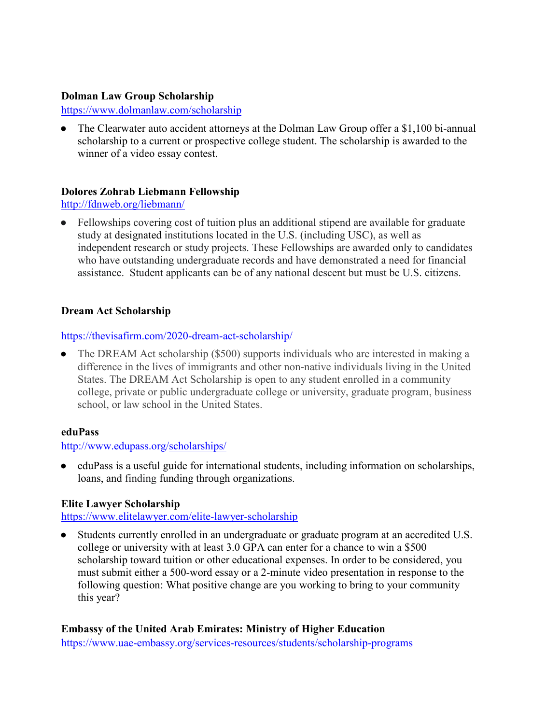### **Dolman Law Group Scholarship**

https:/[/www.dolmanlaw.com/scholarship](http://www.dolmanlaw.com/scholarship)

**●** The Clearwater auto accident attorneys at the Dolman Law Group offer a \$1,100 bi-annual scholarship to a current or prospective college student. The scholarship is awarded to the winner of a video essay contest.

## **Dolores Zohrab Liebmann Fellowship**

<http://fdnweb.org/liebmann/>

**●** Fellowships covering cost of tuition plus an additional stipend are available for graduate study at designated institutions located in the U.S. (including USC), as well as independent research or study projects. These Fellowships are awarded only to candidates who have outstanding undergraduate records and have demonstrated a need for financial assistance. Student applicants can be of any national descent but must be U.S. citizens.

### **Dream Act Scholarship**

<https://thevisafirm.com/2020-dream-act-scholarship/>

**●** The DREAM Act scholarship (\$500) supports individuals who are interested in making a difference in the lives of immigrants and other non-native individuals living in the United States. The DREAM Act Scholarship is open to any student enrolled in a community college, private or public undergraduate college or university, graduate program, business school, or law school in the United States.

#### **eduPass**

<http://www.edupass.org/scholarships/>

**●** eduPass is a useful guide for international students, including information on scholarships, loans, and finding funding through organizations.

## **Elite Lawyer Scholarship**

<https://www.elitelawyer.com/elite-lawyer-scholarship>

**●** Students currently enrolled in an undergraduate or graduate program at an accredited U.S. college or university with at least 3.0 GPA can enter for a chance to win a \$500 scholarship toward tuition or other educational expenses. In order to be considered, you must submit either a 500-word essay or a 2-minute video presentation in response to the following question: What positive change are you working to bring to your community this year?

## **Embassy of the United Arab Emirates: Ministry of Higher Education**

https:[//www.uae-embassy.org/services-resources/students/scholarship-programs](http://www.uae-embassy.org/services-resources/students/scholarship-programs)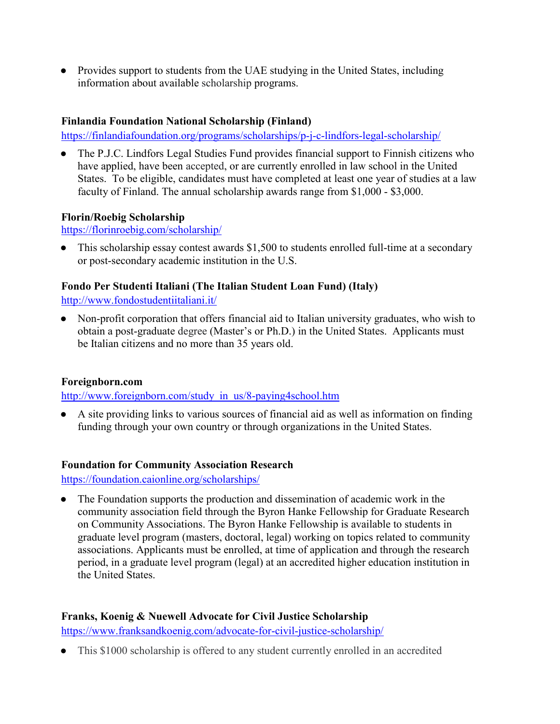**●** Provides support to students from the UAE studying in the United States, including information about available scholarship programs.

## **Finlandia Foundation National Scholarship (Finland)**

<https://finlandiafoundation.org/programs/scholarships/p-j-c-lindfors-legal-scholarship/>

**●** The P.J.C. Lindfors Legal Studies Fund provides financial support to Finnish citizens who have applied, have been accepted, or are currently enrolled in law school in the United States. To be eligible, candidates must have completed at least one year of studies at a law faculty of Finland. The annual scholarship awards range from \$1,000 - \$3,000.

## **Florin/Roebig Scholarship**

<https://florinroebig.com/scholarship/>

**●** This scholarship essay contest awards \$1,500 to students enrolled full-time at a secondary or post-secondary academic institution in the U.S.

## **Fondo Per Studenti Italiani (The Italian Student Loan Fund) (Italy)**

<http://www.fondostudentiitaliani.it/>

**●** Non-profit corporation that offers financial aid to Italian university graduates, who wish to obtain a post-graduate degree (Master's or Ph.D.) in the United States. Applicants must be Italian citizens and no more than 35 years old.

## **Foreignborn.com**

[http://www.foreignborn.com/study\\_in\\_us/8-paying4school.htm](http://www.foreignborn.com/study_in_us/8-paying4school.htm)

**●** A site providing links to various sources of financial aid as well as information on finding funding through your own country or through organizations in the United States.

## **Foundation for Community Association Research**

<https://foundation.caionline.org/scholarships/>

**●** The Foundation supports the production and dissemination of academic work in the community association field through the Byron Hanke Fellowship for Graduate Research on Community Associations. The Byron Hanke Fellowship is available to students in graduate level program (masters, doctoral, legal) working on topics related to community associations. Applicants must be enrolled, at time of application and through the research period, in a graduate level program (legal) at an accredited higher education institution in the United States.

## **Franks, Koenig & Nuewell Advocate for Civil Justice Scholarship**

<https://www.franksandkoenig.com/advocate-for-civil-justice-scholarship/>

**●** This \$1000 scholarship is offered to any student currently enrolled in an accredited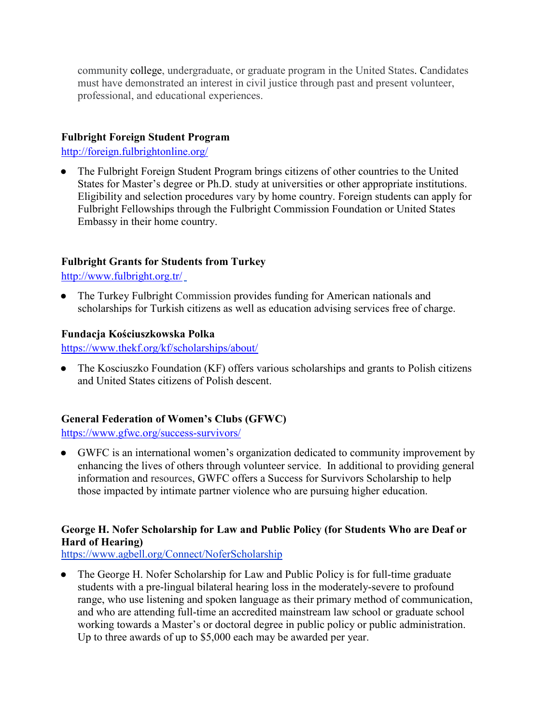community college, undergraduate, or graduate program in the United States. Candidates must have demonstrated an interest in civil justice through past and present volunteer, professional, and educational experiences.

## **Fulbright Foreign Student Program**

<http://foreign.fulbrightonline.org/>

**●** The Fulbright Foreign Student Program brings citizens of other countries to the United States for Master's degree or Ph.D. study at universities or other appropriate institutions. Eligibility and selection procedures vary by home country. Foreign students can apply for Fulbright Fellowships through the Fulbright Commission Foundation or United States Embassy in their home country.

# **Fulbright Grants for Students from Turkey**

<http://www.fulbright.org.tr/>

**●** The Turkey Fulbright Commission provides funding for American nationals and scholarships for Turkish citizens as well as education advising services free of charge.

## **Fundacja Kościuszkowska Polka**

https:[//www.thekf.org/kf/scholarships/about/](http://www.thekf.org/kf/scholarships/about/)

**●** The Kosciuszko Foundation (KF) offers various scholarships and grants to Polish citizens and United States citizens of Polish descent.

# **General Federation of Women's Clubs (GFWC)**

<https://www.gfwc.org/success-survivors/>

**●** GWFC is an international women's organization dedicated to community improvement by enhancing the lives of others through volunteer service. In additional to providing general information and resources, GWFC offers a Success for Survivors Scholarship to help those impacted by intimate partner violence who are pursuing higher education.

# **George H. Nofer Scholarship for Law and Public Policy (for Students Who are Deaf or Hard of Hearing)**

https:[//www.agbell.org/Connect/NoferScholarship](http://www.agbell.org/Connect/NoferScholarship)

**●** The George H. Nofer Scholarship for Law and Public Policy is for full-time graduate students with a pre-lingual bilateral hearing loss in the moderately-severe to profound range, who use listening and spoken language as their primary method of communication, and who are attending full-time an accredited mainstream law school or graduate school working towards a Master's or doctoral degree in public policy or public administration. Up to three awards of up to \$5,000 each may be awarded per year.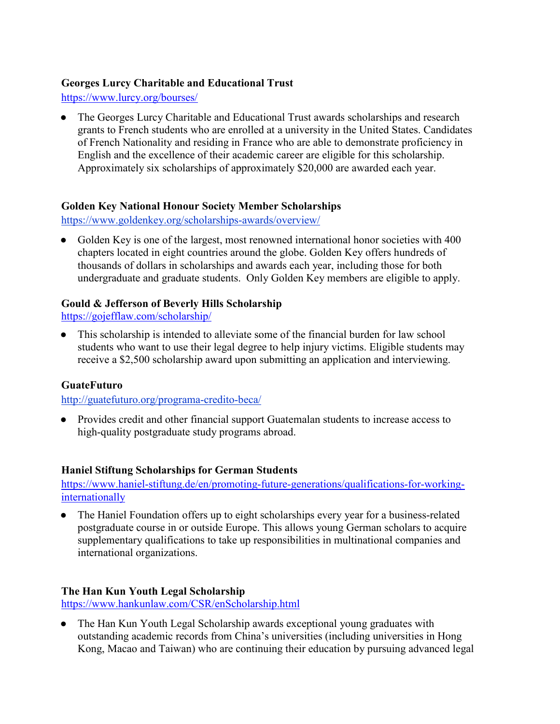## **Georges Lurcy Charitable and Educational Trust**

<https://www.lurcy.org/bourses/>

**●** The Georges Lurcy Charitable and Educational Trust awards scholarships and research grants to French students who are enrolled at a university in the United States. Candidates of French Nationality and residing in France who are able to demonstrate proficiency in English and the excellence of their academic career are eligible for this scholarship. Approximately six scholarships of approximately \$20,000 are awarded each year.

## **Golden Key National Honour Society Member Scholarships**

<https://www.goldenkey.org/scholarships-awards/overview/>

**●** Golden Key is one of the largest, most renowned international honor societies with 400 chapters located in eight countries around the globe. Golden Key offers hundreds of thousands of dollars in scholarships and awards each year, including those for both undergraduate and graduate students. Only Golden Key members are eligible to apply.

## **Gould & Jefferson of Beverly Hills Scholarship**

<https://gojefflaw.com/scholarship/>

**●** This scholarship is intended to alleviate some of the financial burden for law school students who want to use their legal degree to help injury victims. Eligible students may receive a \$2,500 scholarship award upon submitting an application and interviewing.

## **GuateFuturo**

<http://guatefuturo.org/programa-credito-beca/>

**●** Provides credit and other financial support Guatemalan students to increase access to high-quality postgraduate study programs abroad.

## **Haniel Stiftung Scholarships for German Students**

[https://www.haniel-stiftung.de/en/promoting-future-generations/qualifications-for-working](https://www.haniel-stiftung.de/en/promoting-future-generations/qualifications-for-working-internationally)**[internationally](https://www.haniel-stiftung.de/en/promoting-future-generations/qualifications-for-working-internationally)** 

**●** The Haniel Foundation offers up to eight scholarships every year for a business-related postgraduate course in or outside Europe. This allows young German scholars to acquire supplementary qualifications to take up responsibilities in multinational companies and international organizations.

## **The Han Kun Youth Legal Scholarship**

<https://www.hankunlaw.com/CSR/enScholarship.html>

**●** The Han Kun Youth Legal Scholarship awards exceptional young graduates with outstanding academic records from China's universities (including universities in Hong Kong, Macao and Taiwan) who are continuing their education by pursuing advanced legal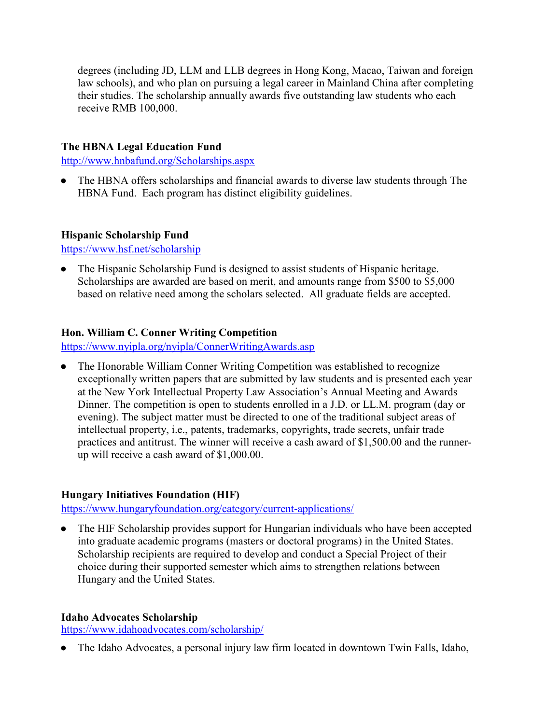degrees (including JD, LLM and LLB degrees in Hong Kong, Macao, Taiwan and foreign law schools), and who plan on pursuing a legal career in Mainland China after completing their studies. The scholarship annually awards five outstanding law students who each receive RMB 100,000.

# **The HBNA Legal Education Fund**

<http://www.hnbafund.org/Scholarships.aspx>

**●** The HBNA offers scholarships and financial awards to diverse law students through The HBNA Fund. Each program has distinct eligibility guidelines.

### **Hispanic Scholarship Fund**

<https://www.hsf.net/scholarship>

**●** The Hispanic Scholarship Fund is designed to assist students of Hispanic heritage. Scholarships are awarded are based on merit, and amounts range from \$500 to \$5,000 based on relative need among the scholars selected. All graduate fields are accepted.

### **Hon. William C. Conner Writing Competition**

<https://www.nyipla.org/nyipla/ConnerWritingAwards.asp>

**●** The Honorable William Conner Writing Competition was established to recognize exceptionally written papers that are submitted by law students and is presented each year at the New York Intellectual Property Law Association's Annual Meeting and Awards Dinner. The competition is open to students enrolled in a J.D. or LL.M. program (day or evening). The subject matter must be directed to one of the traditional subject areas of intellectual property, i.e., patents, trademarks, copyrights, trade secrets, unfair trade practices and antitrust. The winner will receive a cash award of \$1,500.00 and the runnerup will receive a cash award of \$1,000.00.

## **Hungary Initiatives Foundation (HIF)**

<https://www.hungaryfoundation.org/category/current-applications/>

**●** The HIF Scholarship provides support for Hungarian individuals who have been accepted into graduate academic programs (masters or doctoral programs) in the United States. Scholarship recipients are required to develop and conduct a Special Project of their choice during their supported semester which aims to strengthen relations between Hungary and the United States.

## **Idaho Advocates Scholarship**

<https://www.idahoadvocates.com/scholarship/>

**●** The Idaho Advocates, a personal injury law firm located in downtown Twin Falls, Idaho,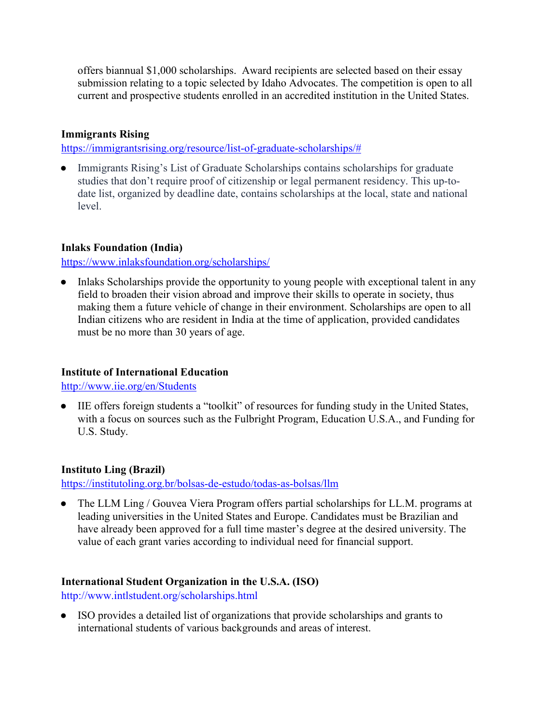offers biannual \$1,000 scholarships. Award recipients are selected based on their essay submission relating to a topic selected by Idaho Advocates. The competition is open to all current and prospective students enrolled in an accredited institution in the United States.

## **Immigrants Rising**

[https://immigrantsrising.org/resource/list-of-graduate-scholarships/#](https://immigrantsrising.org/resource/list-of-graduate-scholarships/)

**●** Immigrants Rising's List of Graduate Scholarships contains scholarships for graduate studies that don't require proof of citizenship or legal permanent residency. This up-todate list, organized by deadline date, contains scholarships at the local, state and national level.

## **Inlaks Foundation (India)**

<https://www.inlaksfoundation.org/scholarships/>

**●** Inlaks Scholarships provide the opportunity to young people with exceptional talent in any field to broaden their vision abroad and improve their skills to operate in society, thus making them a future vehicle of change in their environment. Scholarships are open to all Indian citizens who are resident in India at the time of application, provided candidates must be no more than 30 years of age.

## **Institute of International Education**

<http://www.iie.org/en/Students>

**●** IIE offers foreign students a "toolkit" of resources for funding study in the United States, with a focus on sources such as the Fulbright Program, Education U.S.A., and Funding for U.S. Study.

## **Instituto Ling (Brazil)**

<https://institutoling.org.br/bolsas-de-estudo/todas-as-bolsas/llm>

**●** The LLM Ling / Gouvea Viera Program offers partial scholarships for LL.M. programs at leading universities in the United States and Europe. Candidates must be Brazilian and have already been approved for a full time master's degree at the desired university. The value of each grant varies according to individual need for financial support.

## **International Student Organization in the U.S.A. (ISO)**

<http://www.intlstudent.org/scholarships.html>

**●** ISO provides a detailed list of organizations that provide scholarships and grants to international students of various backgrounds and areas of interest.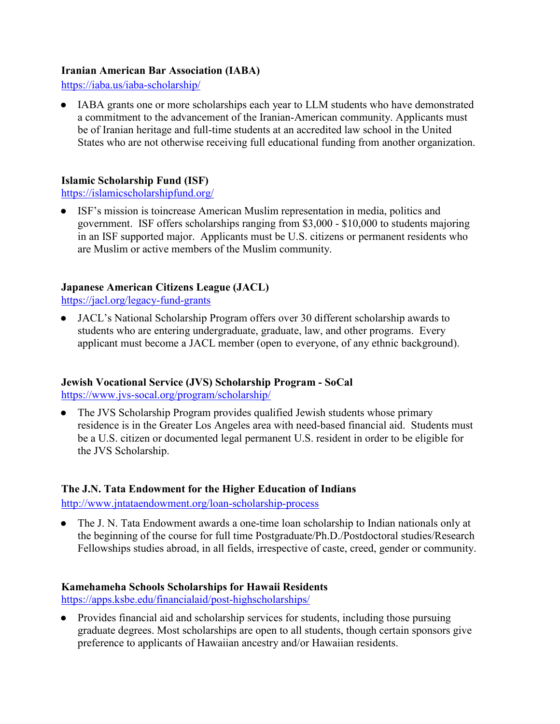## **Iranian American Bar Association (IABA)**

<https://iaba.us/iaba-scholarship/>

**●** IABA grants one or more scholarships each year to LLM students who have demonstrated a commitment to the advancement of the Iranian-American community. Applicants must be of Iranian heritage and full-time students at an accredited law school in the United States who are not otherwise receiving full educational funding from another organization.

## **Islamic Scholarship Fund (ISF)**

<https://islamicscholarshipfund.org/>

**●** ISF's mission is toincrease American Muslim representation in media, politics and government. ISF offers scholarships ranging from \$3,000 - \$10,000 to students majoring in an ISF supported major. Applicants must be U.S. citizens or permanent residents who are Muslim or active members of the Muslim community.

## **Japanese American Citizens League (JACL)**

<https://jacl.org/legacy-fund-grants>

**●** JACL's National Scholarship Program offers over 30 different scholarship awards to students who are entering undergraduate, graduate, law, and other programs. Every applicant must become a JACL member (open to everyone, of any ethnic background).

# **Jewish Vocational Service (JVS) Scholarship Program - SoCal**

<https://www.jvs-socal.org/program/scholarship/>

**●** The JVS Scholarship Program provides qualified Jewish students whose primary residence is in the Greater Los Angeles area with need-based financial aid. Students must be a U.S. citizen or documented legal permanent U.S. resident in order to be eligible for the JVS Scholarship.

## **The J.N. Tata Endowment for the Higher Education of Indians**

<http://www.jntataendowment.org/loan-scholarship-process>

**●** The J. N. Tata Endowment awards a one-time loan scholarship to Indian nationals only at the beginning of the course for full time Postgraduate/Ph.D./Postdoctoral studies/Research Fellowships studies abroad, in all fields, irrespective of caste, creed, gender or community.

## **Kamehameha Schools Scholarships for Hawaii Residents**

<https://apps.ksbe.edu/financialaid/post-highscholarships/>

**●** Provides financial aid and scholarship services for students, including those pursuing graduate degrees. Most scholarships are open to all students, though certain sponsors give preference to applicants of Hawaiian ancestry and/or Hawaiian residents.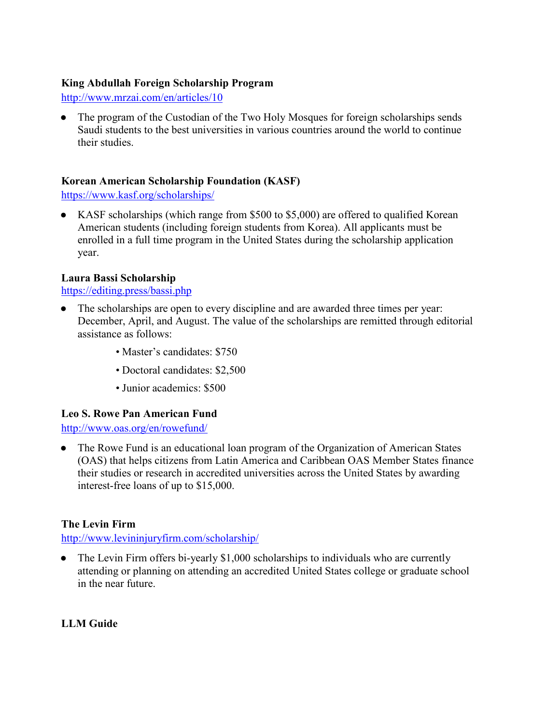### **King Abdullah Foreign Scholarship Program**

<http://www.mrzai.com/en/articles/10>

**●** The program of the Custodian of the Two Holy Mosques for foreign scholarships sends Saudi students to the best universities in various countries around the world to continue their studies.

### **Korean American Scholarship Foundation (KASF)**

<https://www.kasf.org/scholarships/>

**●** KASF scholarships (which range from \$500 to \$5,000) are offered to qualified Korean American students (including foreign students from Korea). All applicants must be enrolled in a full time program in the United States during the scholarship application year.

### **Laura Bassi Scholarship**

### <https://editing.press/bassi.php>

- **●** The scholarships are open to every discipline and are awarded three times per year: December, April, and August. The value of the scholarships are remitted through editorial assistance as follows:
	- Master's candidates: \$750
	- Doctoral candidates: \$2,500
	- Junior academics: \$500

## **Leo S. Rowe Pan American Fund**

<http://www.oas.org/en/rowefund/>

**●** The Rowe Fund is an educational loan program of the Organization of American States (OAS) that helps citizens from Latin America and Caribbean OAS Member States finance their studies or research in accredited universities across the United States by awarding interest-free loans of up to \$15,000.

## **The Levin Firm**

<http://www.levininjuryfirm.com/scholarship/>

**●** The Levin Firm offers bi-yearly \$1,000 scholarships to individuals who are currently attending or planning on attending an accredited United States college or graduate school in the near future.

## **LLM Guide**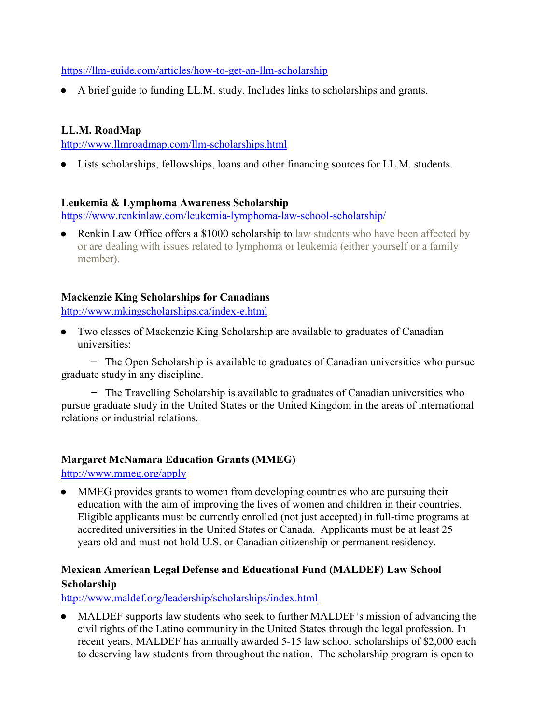## <https://llm-guide.com/articles/how-to-get-an-llm-scholarship>

**●** A brief guide to funding LL.M. study. Includes links to scholarships and grants.

# **LL.M. RoadMap**

<http://www.llmroadmap.com/llm-scholarships.html>

**●** Lists scholarships, fellowships, loans and other financing sources for LL.M. students.

## **Leukemia & Lymphoma Awareness Scholarship**

<https://www.renkinlaw.com/leukemia-lymphoma-law-school-scholarship/>

**●** Renkin Law Office offers a \$1000 scholarship to law students who have been affected by or are dealing with issues related to lymphoma or leukemia (either yourself or a family member).

## **Mackenzie King Scholarships for Canadians**

<http://www.mkingscholarships.ca/index-e.html>

**●** Two classes of Mackenzie King Scholarship are available to graduates of Canadian universities:

̶ The Open Scholarship is available to graduates of Canadian universities who pursue graduate study in any discipline.

̶ The Travelling Scholarship is available to graduates of Canadian universities who pursue graduate study in the United States or the United Kingdom in the areas of international relations or industrial relations.

## **Margaret McNamara Education Grants (MMEG)**

<http://www.mmeg.org/apply>

**●** MMEG provides grants to women from developing countries who are pursuing their education with the aim of improving the lives of women and children in their countries. Eligible applicants must be currently enrolled (not just accepted) in full-time programs at accredited universities in the United States or Canada. Applicants must be at least 25 years old and must not hold U.S. or Canadian citizenship or permanent residency.

## **Mexican American Legal Defense and Educational Fund (MALDEF) Law School Scholarship**

<http://www.maldef.org/leadership/scholarships/index.html>

**●** MALDEF supports law students who seek to further MALDEF's mission of advancing the civil rights of the Latino community in the United States through the legal profession. In recent years, MALDEF has annually awarded 5-15 law school scholarships of \$2,000 each to deserving law students from throughout the nation. The scholarship program is open to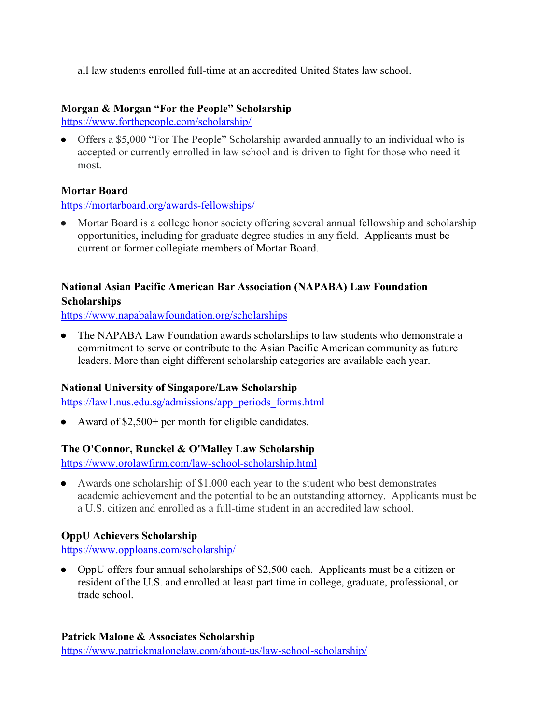all law students enrolled full-time at an accredited United States law school.

## **Morgan & Morgan "For the People" Scholarship**

<https://www.forthepeople.com/scholarship/>

**●** Offers a \$5,000 "For The People" Scholarship awarded annually to an individual who is accepted or currently enrolled in law school and is driven to fight for those who need it most.

## **Mortar Board**

<https://mortarboard.org/awards-fellowships/>

**●** Mortar Board is a college honor society offering several annual fellowship and scholarship opportunities, including for graduate degree studies in any field. Applicants must be current or former collegiate members of Mortar Board.

# **National Asian Pacific American Bar Association (NAPABA) Law Foundation Scholarships**

<https://www.napabalawfoundation.org/scholarships>

**●** The NAPABA Law Foundation awards scholarships to law students who demonstrate a commitment to serve or contribute to the Asian Pacific American community as future leaders. More than eight different scholarship categories are available each year.

# **National University of Singapore/Law Scholarship**

[https://law1.nus.edu.sg/admissions/app\\_periods\\_forms.html](https://law1.nus.edu.sg/admissions/app_periods_forms.html)

**●** Award of \$2,500+ per month for eligible candidates.

# **The O'Connor, Runckel & O'Malley Law Scholarship**

<https://www.orolawfirm.com/law-school-scholarship.html>

**●** Awards one scholarship of \$1,000 each year to the student who best demonstrates academic achievement and the potential to be an outstanding attorney. Applicants must be a U.S. citizen and enrolled as a full-time student in an accredited law school.

# **OppU Achievers Scholarship**

<https://www.opploans.com/scholarship/>

**●** OppU offers four annual scholarships of \$2,500 each. Applicants must be a citizen or resident of the U.S. and enrolled at least part time in college, graduate, professional, or trade school.

## **Patrick Malone & Associates Scholarship**

https:[//www.patrickmalonelaw.com/about-us/law-school-scholarship/](http://www.patrickmalonelaw.com/about-us/law-school-scholarship/)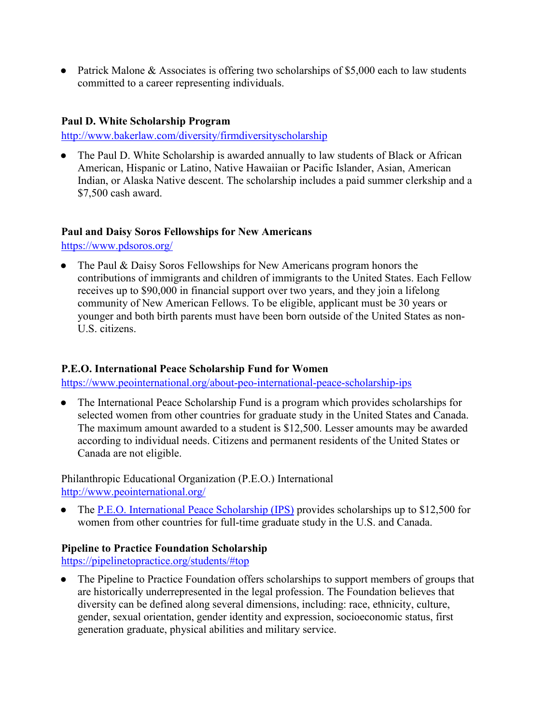**●** Patrick Malone & Associates is offering two scholarships of \$5,000 each to law students committed to a career representing individuals.

### **Paul D. White Scholarship Program**

<http://www.bakerlaw.com/diversity/firmdiversityscholarship>

**●** The Paul D. White Scholarship is awarded annually to law students of Black or African American, Hispanic or Latino, Native Hawaiian or Pacific Islander, Asian, American Indian, or Alaska Native descent. The scholarship includes a paid summer clerkship and a \$7,500 cash award.

#### **Paul and Daisy Soros Fellowships for New Americans**

<https://www.pdsoros.org/>

**●** The Paul & Daisy Soros Fellowships for New Americans program honors the contributions of immigrants and children of immigrants to the United States. Each Fellow receives up to \$90,000 in financial support over two years, and they join a lifelong community of New American Fellows. To be eligible, applicant must be 30 years or younger and both birth parents must have been born outside of the United States as non-U.S. citizens.

#### **P.E.O. International Peace Scholarship Fund for Women**

<https://www.peointernational.org/about-peo-international-peace-scholarship-ips>

**●** The International Peace Scholarship Fund is a program which provides scholarships for selected women from other countries for graduate study in the United States and Canada. The maximum amount awarded to a student is \$12,500. Lesser amounts may be awarded according to individual needs. Citizens and permanent residents of the United States or Canada are not eligible.

Philanthropic Educational Organization (P.E.O.) International <http://www.peointernational.org/>

**●** The [P.E.O. International Peace Scholarship \(IPS\)](http://www.peointernational.org/about-peo-international-peace-scholarship-ips) provides scholarships up to \$12,500 for women from other countries for full-time graduate study in the U.S. and Canada.

#### **Pipeline to Practice Foundation Scholarship**

<https://pipelinetopractice.org/students/#top>

**●** The Pipeline to Practice Foundation offers scholarships to support members of groups that are historically underrepresented in the legal profession. The Foundation believes that diversity can be defined along several dimensions, including: race, ethnicity, culture, gender, sexual orientation, gender identity and expression, socioeconomic status, first generation graduate, physical abilities and military service.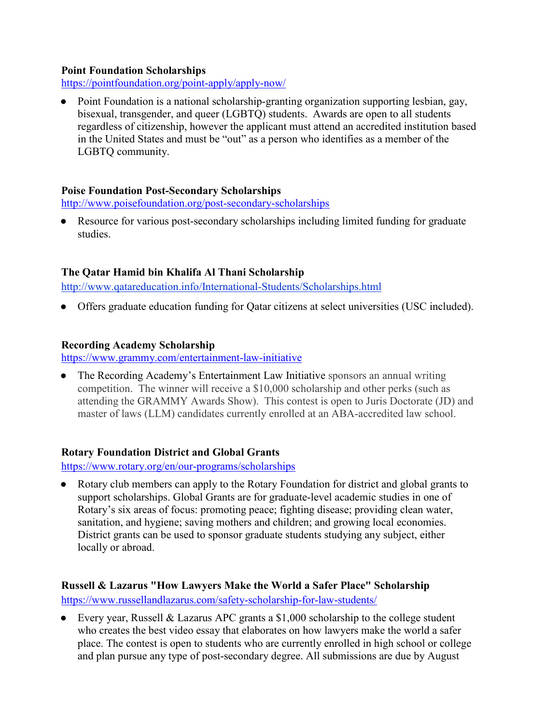### **Point Foundation Scholarships**

<https://pointfoundation.org/point-apply/apply-now/>

**●** Point Foundation is a national scholarship-granting organization supporting lesbian, gay, bisexual, transgender, and queer (LGBTQ) students. Awards are open to all students regardless of citizenship, however the applicant must attend an accredited institution based in the United States and must be "out" as a person who identifies as a member of the LGBTQ community.

### **Poise Foundation Post-Secondary Scholarships**

<http://www.poisefoundation.org/post-secondary-scholarships>

**●** Resource for various post-secondary scholarships including limited funding for graduate studies.

#### **The Qatar Hamid bin Khalifa Al Thani Scholarship**

<http://www.qatareducation.info/International-Students/Scholarships.html>

**●** Offers graduate education funding for Qatar citizens at select universities (USC included).

### **Recording Academy Scholarship**

<https://www.grammy.com/entertainment-law-initiative>

**●** The Recording Academy's Entertainment Law Initiative sponsors an annual writing competition. The winner will receive a \$10,000 scholarship and other perks (such as attending the GRAMMY Awards Show). This contest is open to Juris Doctorate (JD) and master of laws (LLM) candidates currently enrolled at an ABA-accredited law school.

#### **Rotary Foundation District and Global Grants**

<https://www.rotary.org/en/our-programs/scholarships>

**●** Rotary club members can apply to the Rotary Foundation for district and global grants to support scholarships. Global Grants are for graduate-level academic studies in one of Rotary's six areas of focus: promoting peace; fighting disease; providing clean water, sanitation, and hygiene; saving mothers and children; and growing local economies. District grants can be used to sponsor graduate students studying any subject, either locally or abroad.

## **Russell & Lazarus "How Lawyers Make the World a Safer Place" Scholarship** <https://www.russellandlazarus.com/safety-scholarship-for-law-students/>

**●** Every year, Russell & Lazarus APC grants a \$1,000 scholarship to the college student who creates the best video essay that elaborates on how lawyers make the world a safer place. The contest is open to students who are currently enrolled in high school or college and plan pursue any type of post-secondary degree. All submissions are due by August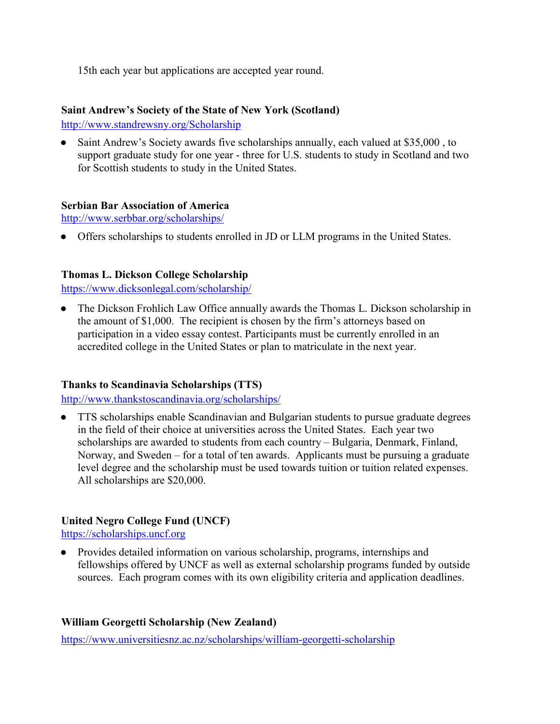15th each year but applications are accepted year round.

### **Saint Andrew's Society of the State of New York (Scotland)**

<http://www.standrewsny.org/Scholarship>

**●** Saint Andrew's Society awards five scholarships annually, each valued at \$35,000 , to support graduate study for one year - three for U.S. students to study in Scotland and two for Scottish students to study in the United States.

### **Serbian Bar Association of America**

<http://www.serbbar.org/scholarships/>

**●** Offers scholarships to students enrolled in JD or LLM programs in the United States.

### **Thomas L. Dickson College Scholarship**

<https://www.dicksonlegal.com/scholarship/>

**●** The Dickson Frohlich Law Office annually awards the Thomas L. Dickson scholarship in the amount of \$1,000. The recipient is chosen by the firm's attorneys based on participation in a video essay contest. Participants must be currently enrolled in an accredited college in the United States or plan to matriculate in the next year.

## **Thanks to Scandinavia Scholarships (TTS)**

<http://www.thankstoscandinavia.org/scholarships/>

**●** TTS scholarships enable Scandinavian and Bulgarian students to pursue graduate degrees in the field of their choice at universities across the United States. Each year two scholarships are awarded to students from each country – Bulgaria, Denmark, Finland, Norway, and Sweden – for a total of ten awards. Applicants must be pursuing a graduate level degree and the scholarship must be used towards tuition or tuition related expenses. All scholarships are \$20,000.

## **United Negro College Fund (UNCF)**

[https://scholarships.uncf.org](https://scholarships.uncf.org/)

**●** Provides detailed information on various scholarship, programs, internships and fellowships offered by UNCF as well as external scholarship programs funded by outside sources. Each program comes with its own eligibility criteria and application deadlines.

## **William Georgetti Scholarship (New Zealand)**

<https://www.universitiesnz.ac.nz/scholarships/william-georgetti-scholarship>